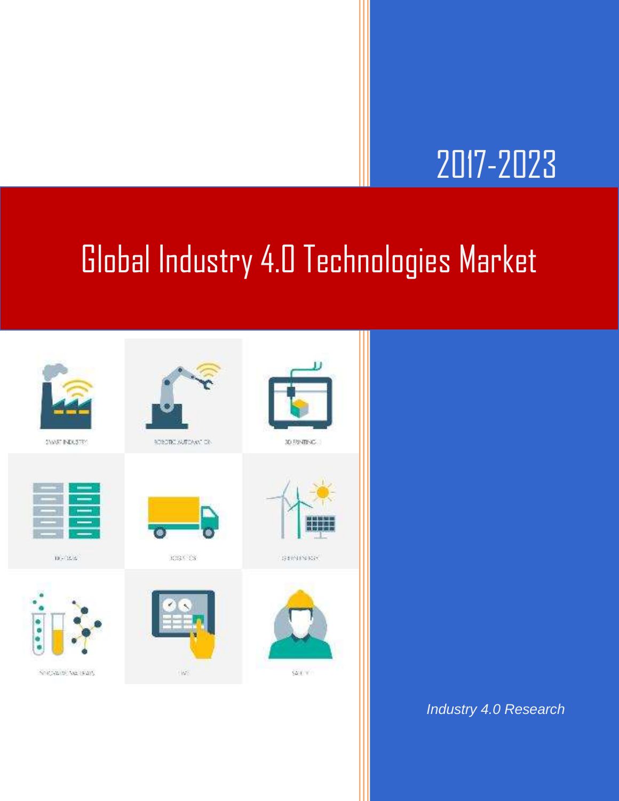## 2017-2023

### Global Industry 4.0 Technologies Market



*Industry 4.0 Research*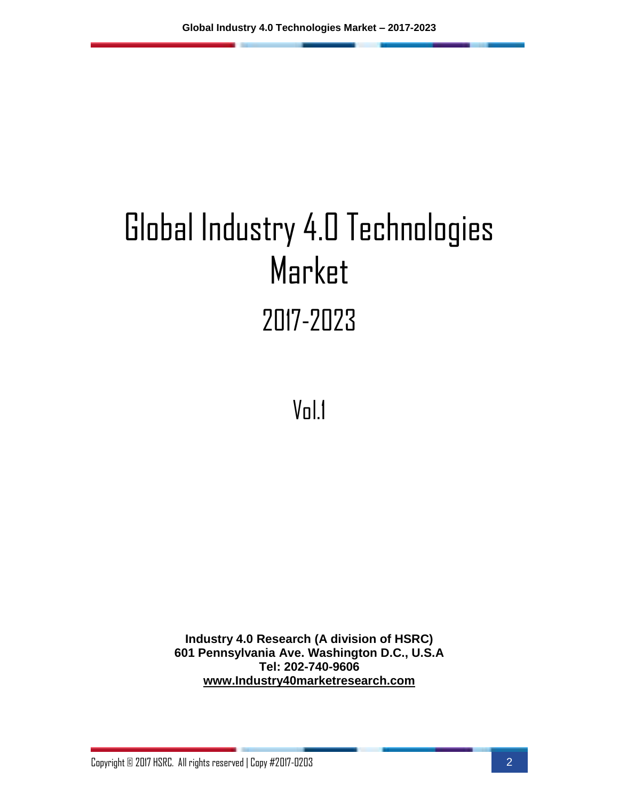# Global Industry 4.0 Technologies Market 2017-2023

Vol.1

**Industry 4.0 Research (A division of HSRC) 601 Pennsylvania Ave. Washington D.C., U.S.A Tel: 202-740-9606 [www.Industry40marketresearch.com](http://www.industry40marketresearch.com/)**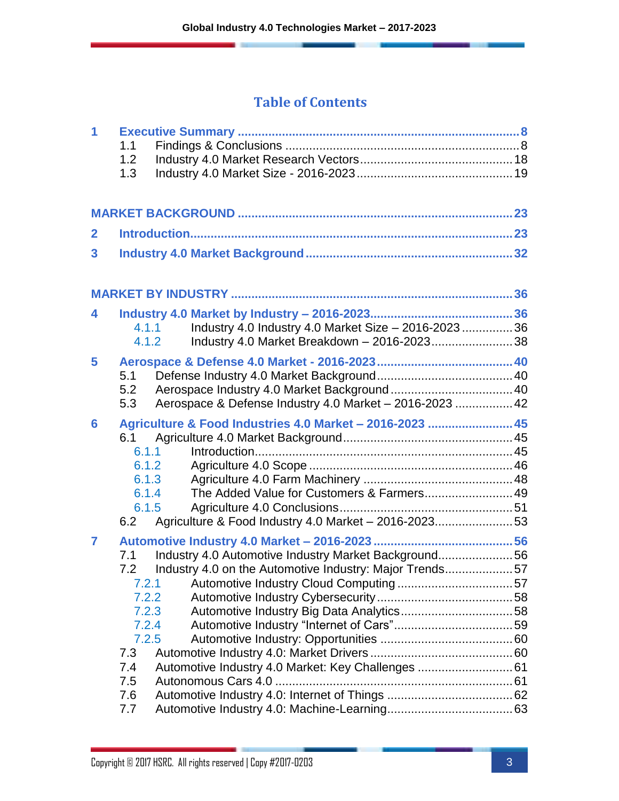### **Table of Contents**

| 1              | 1.1<br>1.2<br>1.3                                                                          |                                                                                                                                                                       |  |
|----------------|--------------------------------------------------------------------------------------------|-----------------------------------------------------------------------------------------------------------------------------------------------------------------------|--|
|                |                                                                                            |                                                                                                                                                                       |  |
| $\mathbf{2}$   |                                                                                            |                                                                                                                                                                       |  |
| 3              |                                                                                            |                                                                                                                                                                       |  |
|                |                                                                                            |                                                                                                                                                                       |  |
| 4              | 4.1.1<br>4.1.2                                                                             | Industry 4.0 Industry 4.0 Market Size - 2016-2023  36<br>Industry 4.0 Market Breakdown - 2016-2023 38                                                                 |  |
| 5              | 5.1<br>5.2<br>5.3                                                                          | Aerospace & Defense Industry 4.0 Market - 2016-2023  42                                                                                                               |  |
| 6              | 6.1<br>6.1.1<br>6.1.2<br>6.1.3<br>6.1.4<br>6.1.5<br>6.2                                    | Agriculture & Food Industries 4.0 Market - 2016-2023  45<br>The Added Value for Customers & Farmers 49<br>Agriculture & Food Industry 4.0 Market - 2016-202353        |  |
| $\overline{7}$ | 7.1<br>7.2<br>7.2.1<br>7.2.2<br>7.2.3<br>7.2.4<br>7.2.5<br>7.3<br>7.4<br>7.5<br>7.6<br>7.7 | Industry 4.0 Automotive Industry Market Background56<br>Industry 4.0 on the Automotive Industry: Major Trends57<br>Automotive Industry 4.0 Market: Key Challenges  61 |  |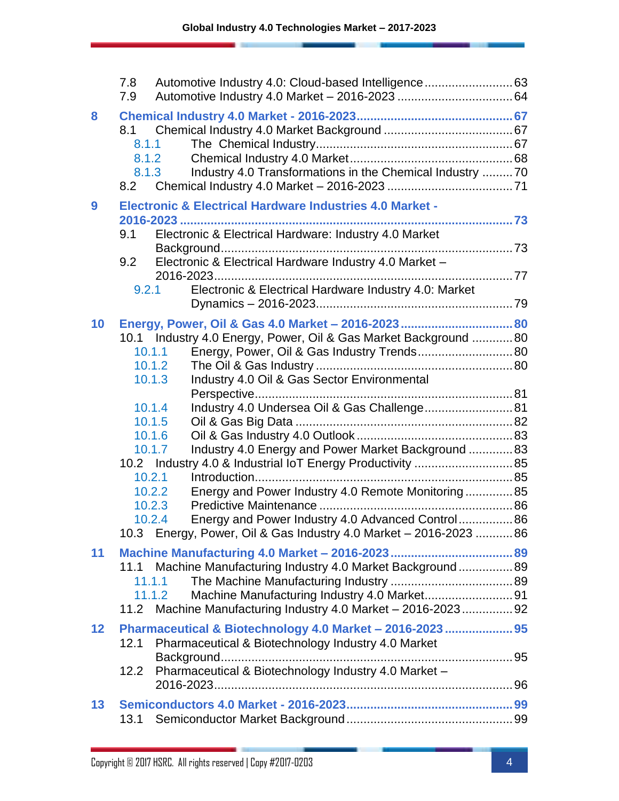|                 | 7.8<br>Automotive Industry 4.0: Cloud-based Intelligence 63<br>7.9                                                                                                                                                                                                                                                                                 |  |
|-----------------|----------------------------------------------------------------------------------------------------------------------------------------------------------------------------------------------------------------------------------------------------------------------------------------------------------------------------------------------------|--|
| 8               | 8.1<br>8.1.1<br>8.1.2<br>Industry 4.0 Transformations in the Chemical Industry 70<br>8.1.3<br>8.2                                                                                                                                                                                                                                                  |  |
| 9               | <b>Electronic &amp; Electrical Hardware Industries 4.0 Market -</b><br>Electronic & Electrical Hardware: Industry 4.0 Market<br>9.1<br>Electronic & Electrical Hardware Industry 4.0 Market -<br>9.2<br>Electronic & Electrical Hardware Industry 4.0: Market<br>9.2.1                                                                             |  |
| 10              | Energy, Power, Oil & Gas 4.0 Market - 2016-2023  80<br>10.1 Industry 4.0 Energy, Power, Oil & Gas Market Background 80<br>Energy, Power, Oil & Gas Industry Trends 80<br>10.1.1<br>10.1.2<br>Industry 4.0 Oil & Gas Sector Environmental<br>10.1.3<br>Industry 4.0 Undersea Oil & Gas Challenge 81<br>10.1.4<br>10.1.5<br>10.1.6                   |  |
|                 | Industry 4.0 Energy and Power Market Background  83<br>10.1.7<br>10.2 Industry 4.0 & Industrial IoT Energy Productivity  85<br>10.2.1<br>Energy and Power Industry 4.0 Remote Monitoring85<br>10.2.2<br>10.2.3<br>Energy and Power Industry 4.0 Advanced Control 86<br>10.2.4<br>10.3 Energy, Power, Oil & Gas Industry 4.0 Market - 2016-2023  86 |  |
| 11              | 11.1 Machine Manufacturing Industry 4.0 Market Background 89<br>11.1.1<br>11.1.2<br>11.2 Machine Manufacturing Industry 4.0 Market - 2016-2023 92                                                                                                                                                                                                  |  |
| 12 <sub>2</sub> | Pharmaceutical & Biotechnology 4.0 Market - 2016-2023  95<br>Pharmaceutical & Biotechnology Industry 4.0 Market<br>12.1<br>Pharmaceutical & Biotechnology Industry 4.0 Market -<br>12.2                                                                                                                                                            |  |
| 13              | 13.1                                                                                                                                                                                                                                                                                                                                               |  |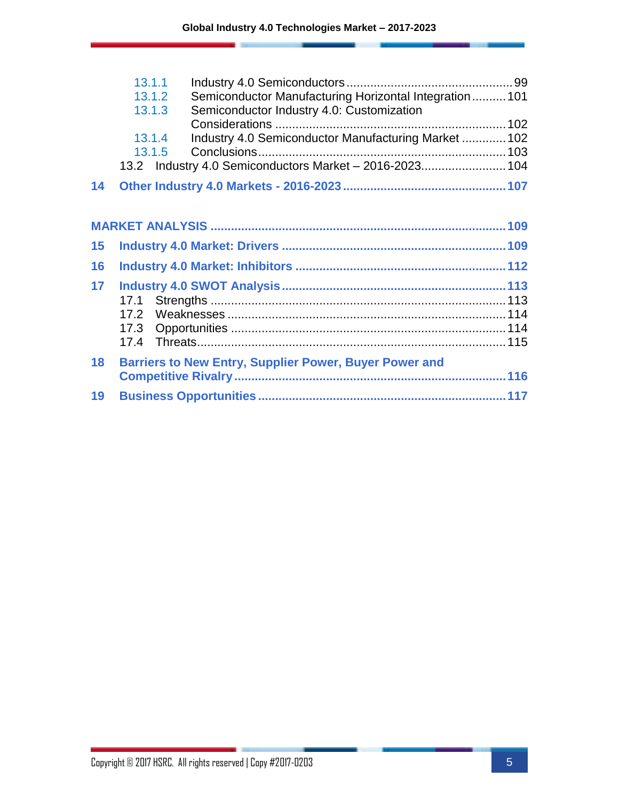|    | 13.1.1                                                            |  |
|----|-------------------------------------------------------------------|--|
|    | Semiconductor Manufacturing Horizontal Integration  101<br>13.1.2 |  |
|    | Semiconductor Industry 4.0: Customization<br>13.1.3               |  |
|    |                                                                   |  |
|    | Industry 4.0 Semiconductor Manufacturing Market  102<br>13.1.4    |  |
|    | 13.1.5                                                            |  |
|    | 13.2 Industry 4.0 Semiconductors Market - 2016-2023 104           |  |
| 14 |                                                                   |  |
|    |                                                                   |  |
|    |                                                                   |  |
| 15 |                                                                   |  |
| 16 |                                                                   |  |
| 17 |                                                                   |  |
|    |                                                                   |  |
|    |                                                                   |  |
|    |                                                                   |  |
|    |                                                                   |  |
| 18 | <b>Barriers to New Entry, Supplier Power, Buyer Power and</b>     |  |
|    |                                                                   |  |
| 19 |                                                                   |  |
|    |                                                                   |  |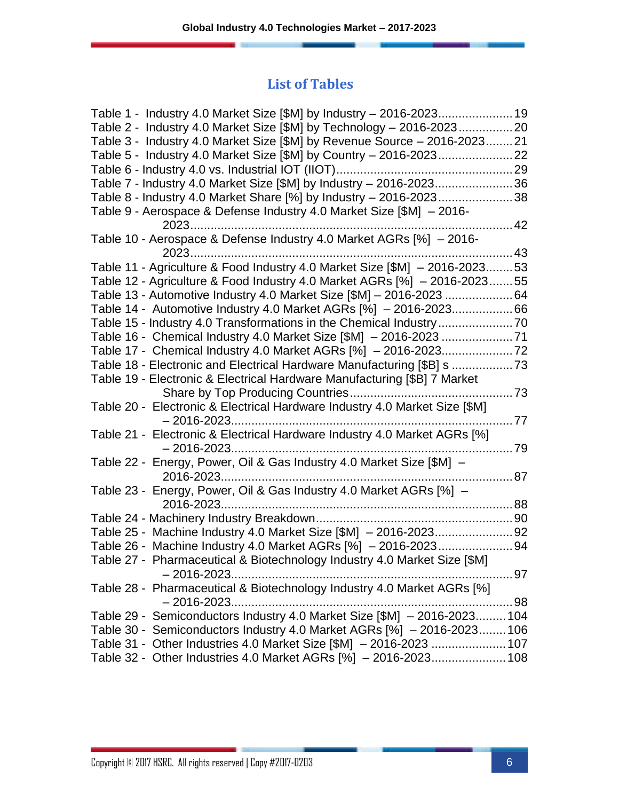#### **List of Tables**

| Table 2 - Industry 4.0 Market Size [\$M] by Technology - 2016-202320       |        |
|----------------------------------------------------------------------------|--------|
| Table 3 - Industry 4.0 Market Size [\$M] by Revenue Source - 2016-202321   |        |
|                                                                            |        |
|                                                                            |        |
| Table 7 - Industry 4.0 Market Size [\$M] by Industry - 2016-202336         |        |
| Table 8 - Industry 4.0 Market Share [%] by Industry - 2016-202338          |        |
| Table 9 - Aerospace & Defense Industry 4.0 Market Size [\$M] - 2016-       |        |
| . 42                                                                       |        |
| Table 10 - Aerospace & Defense Industry 4.0 Market AGRs [%] - 2016-        |        |
|                                                                            |        |
| Table 11 - Agriculture & Food Industry 4.0 Market Size [\$M] - 2016-202353 |        |
| Table 12 - Agriculture & Food Industry 4.0 Market AGRs [%] - 2016-202355   |        |
| Table 13 - Automotive Industry 4.0 Market Size [\$M] - 2016-2023 64        |        |
| Table 14 - Automotive Industry 4.0 Market AGRs [%] - 2016-202366           |        |
| Table 15 - Industry 4.0 Transformations in the Chemical Industry70         |        |
| Table 16 - Chemical Industry 4.0 Market Size [\$M] - 2016-2023 71          |        |
|                                                                            |        |
| Table 18 - Electronic and Electrical Hardware Manufacturing [\$B] s        |        |
| Table 19 - Electronic & Electrical Hardware Manufacturing [\$B] 7 Market   |        |
|                                                                            |        |
| Table 20 - Electronic & Electrical Hardware Industry 4.0 Market Size [\$M] |        |
|                                                                            |        |
| Table 21 - Electronic & Electrical Hardware Industry 4.0 Market AGRs [%]   |        |
|                                                                            |        |
| Table 22 - Energy, Power, Oil & Gas Industry 4.0 Market Size [\$M] -       |        |
| 2016-2023<br>. 87                                                          |        |
| Table 23 - Energy, Power, Oil & Gas Industry 4.0 Market AGRs [%] -         |        |
|                                                                            |        |
|                                                                            |        |
|                                                                            |        |
|                                                                            |        |
| Table 27 - Pharmaceutical & Biotechnology Industry 4.0 Market Size [\$M]   |        |
|                                                                            | ……. 97 |
| Table 28 - Pharmaceutical & Biotechnology Industry 4.0 Market AGRs [%]     |        |
| $-2016 - 2023$                                                             |        |
| Table 29 - Semiconductors Industry 4.0 Market Size [\$M] - 2016-2023 104   |        |
| Table 30 - Semiconductors Industry 4.0 Market AGRs [%] - 2016-2023106      |        |
| Table 31 - Other Industries 4.0 Market Size [\$M] - 2016-2023  107         |        |
| Table 32 - Other Industries 4.0 Market AGRs [%] - 2016-2023 108            |        |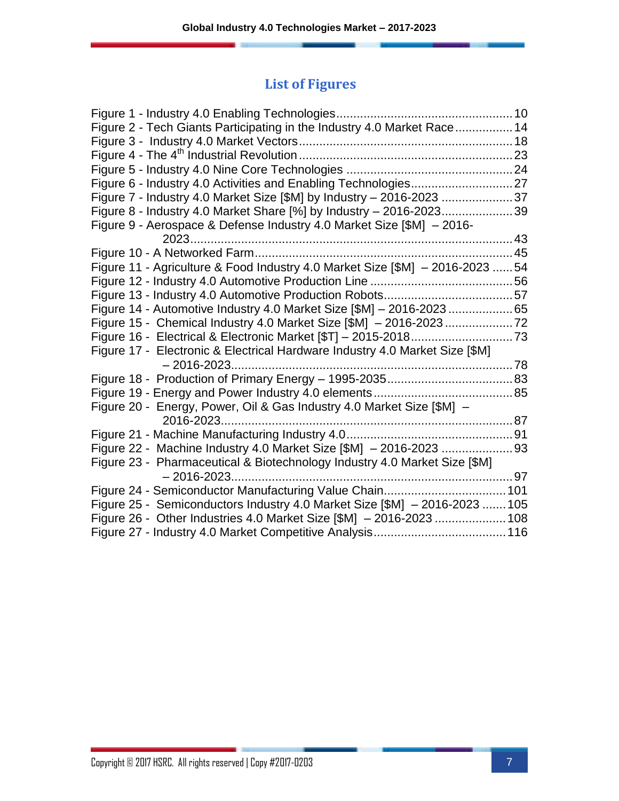### **List of Figures**

| Figure 2 - Tech Giants Participating in the Industry 4.0 Market Race 14       |  |
|-------------------------------------------------------------------------------|--|
|                                                                               |  |
|                                                                               |  |
|                                                                               |  |
|                                                                               |  |
| Figure 7 - Industry 4.0 Market Size [\$M] by Industry - 2016-2023 37          |  |
| Figure 8 - Industry 4.0 Market Share [%] by Industry - 2016-202339            |  |
| Figure 9 - Aerospace & Defense Industry 4.0 Market Size [\$M] - 2016-         |  |
|                                                                               |  |
|                                                                               |  |
| Figure 11 - Agriculture & Food Industry 4.0 Market Size [\$M] - 2016-2023  54 |  |
|                                                                               |  |
|                                                                               |  |
| Figure 14 - Automotive Industry 4.0 Market Size [\$M] - 2016-2023 65          |  |
|                                                                               |  |
|                                                                               |  |
| Figure 17 - Electronic & Electrical Hardware Industry 4.0 Market Size [\$M]   |  |
| $-2016 - 2023$                                                                |  |
|                                                                               |  |
|                                                                               |  |
| Figure 20 - Energy, Power, Oil & Gas Industry 4.0 Market Size [\$M] -         |  |
|                                                                               |  |
|                                                                               |  |
|                                                                               |  |
| Figure 23 - Pharmaceutical & Biotechnology Industry 4.0 Market Size [\$M]     |  |
|                                                                               |  |
|                                                                               |  |
| Figure 25 - Semiconductors Industry 4.0 Market Size [\$M] - 2016-2023  105    |  |
| Figure 26 - Other Industries 4.0 Market Size [\$M] - 2016-2023  108           |  |
|                                                                               |  |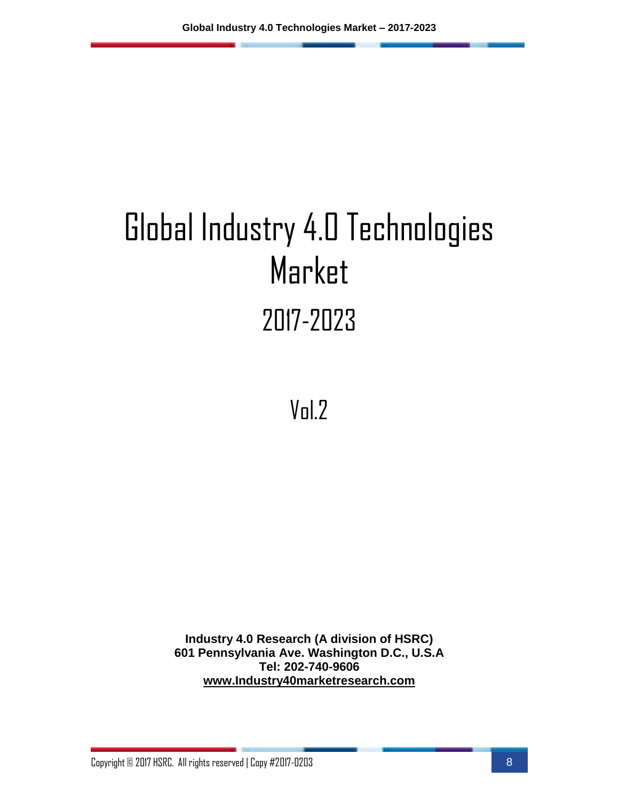# Global Industry 4.0 Technologies Market 2017-2023

Vol.2

**Industry 4.0 Research (A division of HSRC) 601 Pennsylvania Ave. Washington D.C., U.S.A Tel: 202-740-9606 [www.Industry40marketresearch.com](http://www.industry40marketresearch.com/)**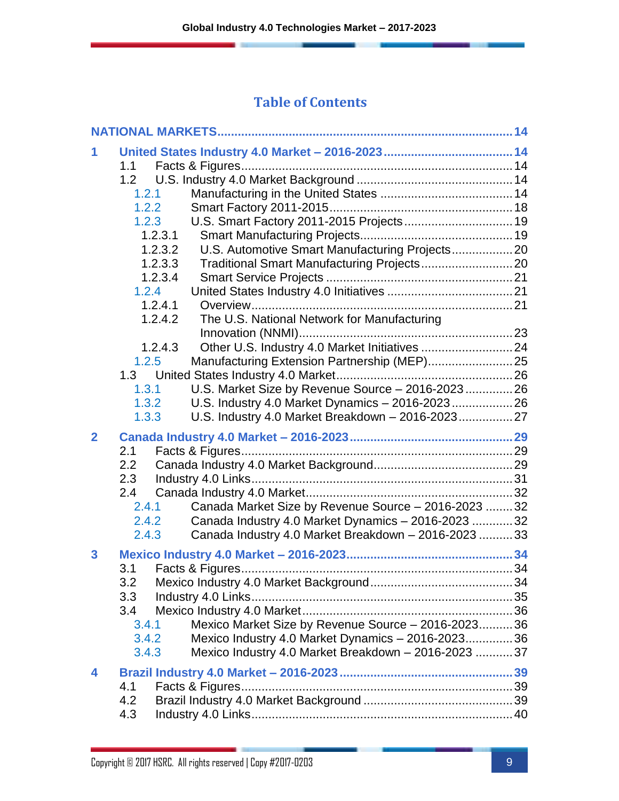#### **Table of Contents**

|                | 1.1        |                                                      |  |
|----------------|------------|------------------------------------------------------|--|
|                |            |                                                      |  |
|                | 1.2.1      |                                                      |  |
|                | 1.2.2      |                                                      |  |
|                | 1.2.3      | U.S. Smart Factory 2011-2015 Projects 19             |  |
|                | 1.2.3.1    |                                                      |  |
|                | 1.2.3.2    | U.S. Automotive Smart Manufacturing Projects 20      |  |
|                | 1.2.3.3    |                                                      |  |
|                | 1.2.3.4    |                                                      |  |
|                | 1.2.4      |                                                      |  |
|                | 1.2.4.1    |                                                      |  |
|                | 1.2.4.2    | The U.S. National Network for Manufacturing          |  |
|                |            |                                                      |  |
|                | 1.2.4.3    | Other U.S. Industry 4.0 Market Initiatives  24       |  |
|                | 1.2.5      |                                                      |  |
|                |            |                                                      |  |
|                | 1.3.1      | U.S. Market Size by Revenue Source - 2016-2023 26    |  |
|                | 1.3.2      | U.S. Industry 4.0 Market Dynamics - 2016-2023 26     |  |
|                | 1.3.3      | U.S. Industry 4.0 Market Breakdown - 2016-2023 27    |  |
|                |            |                                                      |  |
| $\overline{2}$ |            |                                                      |  |
|                | 2.1        |                                                      |  |
|                | 2.2        |                                                      |  |
|                | 2.3        |                                                      |  |
|                | 2.4        |                                                      |  |
|                | 2.4.1      |                                                      |  |
|                | 2.4.2      | Canada Market Size by Revenue Source - 2016-2023  32 |  |
|                | 2.4.3      | Canada Industry 4.0 Market Dynamics - 2016-2023  32  |  |
|                |            | Canada Industry 4.0 Market Breakdown - 2016-2023  33 |  |
| 3              |            |                                                      |  |
|                |            |                                                      |  |
|                |            |                                                      |  |
|                | 3.3        |                                                      |  |
|                | 3.4        |                                                      |  |
|                | 3.4.1      | Mexico Market Size by Revenue Source - 2016-202336   |  |
|                | 3.4.2      | Mexico Industry 4.0 Market Dynamics - 2016-2023 36   |  |
|                | 3.4.3      | Mexico Industry 4.0 Market Breakdown - 2016-2023  37 |  |
| 4              |            |                                                      |  |
|                | 4.1        |                                                      |  |
|                | 4.2<br>4.3 |                                                      |  |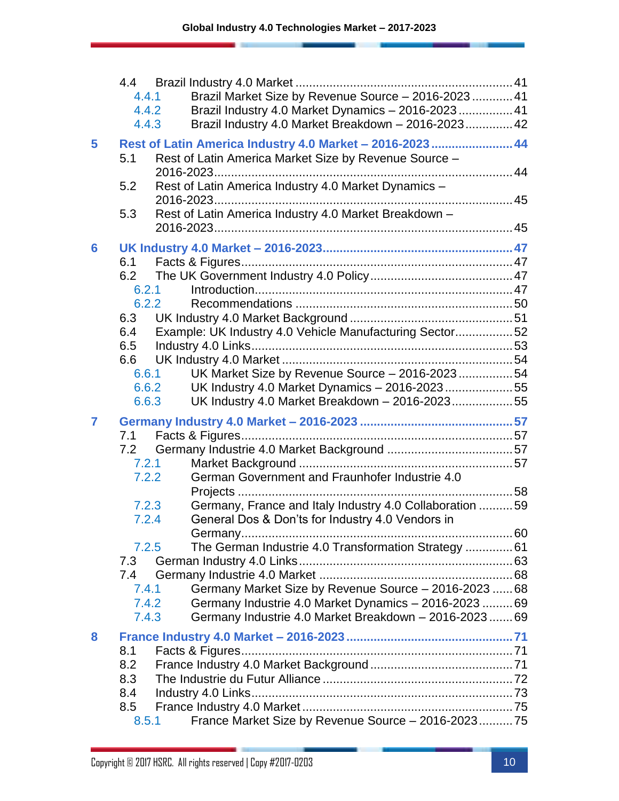|                | 4.4<br>4.4.1<br>4.4.2<br>4.4.3 | Brazil Market Size by Revenue Source - 2016-2023 41<br>Brazil Industry 4.0 Market Dynamics - 2016-2023 41<br>Brazil Industry 4.0 Market Breakdown - 2016-2023 42 |  |
|----------------|--------------------------------|------------------------------------------------------------------------------------------------------------------------------------------------------------------|--|
| 5              | 5.1                            | Rest of Latin America Industry 4.0 Market - 2016-2023  44<br>Rest of Latin America Market Size by Revenue Source -                                               |  |
|                | 5.2<br>5.3                     | Rest of Latin America Industry 4.0 Market Dynamics -<br>Rest of Latin America Industry 4.0 Market Breakdown -                                                    |  |
|                |                                |                                                                                                                                                                  |  |
| 6              |                                |                                                                                                                                                                  |  |
|                | 6.1                            |                                                                                                                                                                  |  |
|                | 6.2<br>6.2.1                   |                                                                                                                                                                  |  |
|                | 6.2.2                          |                                                                                                                                                                  |  |
|                | 6.3                            |                                                                                                                                                                  |  |
|                | 6.4                            | Example: UK Industry 4.0 Vehicle Manufacturing Sector52                                                                                                          |  |
|                | 6.5                            |                                                                                                                                                                  |  |
|                | 6.6                            |                                                                                                                                                                  |  |
|                | 6.6.1<br>6.6.2                 | UK Market Size by Revenue Source - 2016-202354<br>UK Industry 4.0 Market Dynamics - 2016-202355                                                                  |  |
|                | 6.6.3                          | UK Industry 4.0 Market Breakdown - 2016-202355                                                                                                                   |  |
| $\overline{7}$ |                                |                                                                                                                                                                  |  |
|                | 7.1                            |                                                                                                                                                                  |  |
|                | 7.2                            |                                                                                                                                                                  |  |
|                |                                | 7.2.1                                                                                                                                                            |  |
|                | 7.2.2                          | German Government and Fraunhofer Industrie 4.0                                                                                                                   |  |
|                |                                |                                                                                                                                                                  |  |
|                | 7.2.3<br>7.2.4                 | Germany, France and Italy Industry 4.0 Collaboration  59                                                                                                         |  |
|                |                                | General Dos & Don'ts for Industry 4.0 Vendors in                                                                                                                 |  |
|                | 7.2.5                          | The German Industrie 4.0 Transformation Strategy  61                                                                                                             |  |
|                | 7.3                            |                                                                                                                                                                  |  |
|                | 7.4                            |                                                                                                                                                                  |  |
|                | 7.4.1                          | Germany Market Size by Revenue Source - 2016-2023  68                                                                                                            |  |
|                | 7.4.2                          | Germany Industrie 4.0 Market Dynamics - 2016-2023  69                                                                                                            |  |
|                | 7.4.3                          | Germany Industrie 4.0 Market Breakdown - 2016-2023  69                                                                                                           |  |
| 8              |                                |                                                                                                                                                                  |  |
|                | 8.1<br>8.2                     |                                                                                                                                                                  |  |
|                | 8.3                            |                                                                                                                                                                  |  |
|                | 8.4                            |                                                                                                                                                                  |  |
|                | 8.5                            |                                                                                                                                                                  |  |
|                | 8.5.1                          | France Market Size by Revenue Source - 2016-202375                                                                                                               |  |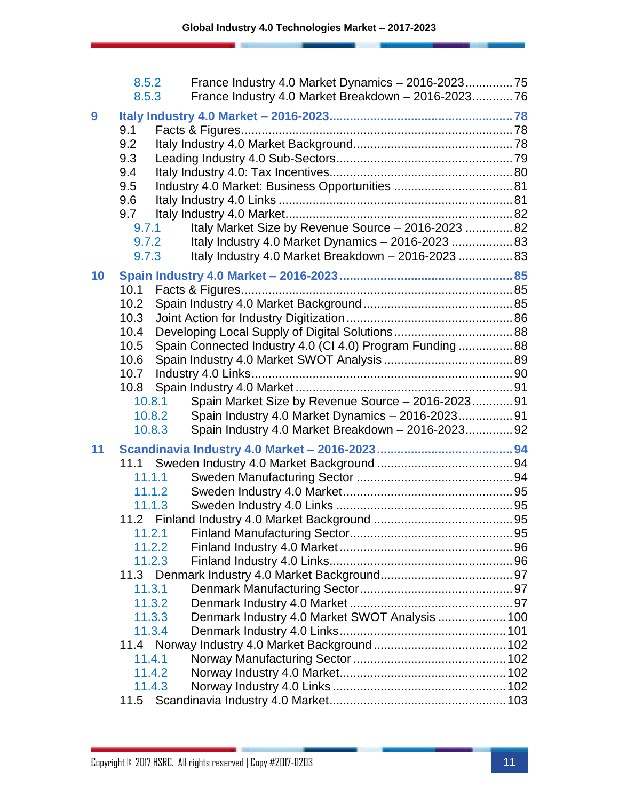|    | 8.5.2<br>8.5.3   | France Industry 4.0 Market Dynamics - 2016-202375<br>France Industry 4.0 Market Breakdown - 2016-202376 |  |
|----|------------------|---------------------------------------------------------------------------------------------------------|--|
| 9  |                  |                                                                                                         |  |
|    | 9.1              |                                                                                                         |  |
|    | 9.2              |                                                                                                         |  |
|    | 9.3              |                                                                                                         |  |
|    | 9.4              |                                                                                                         |  |
|    | 9.5              |                                                                                                         |  |
|    | 9.6              |                                                                                                         |  |
|    | 9.7              |                                                                                                         |  |
|    | 9.7.1            | Italy Market Size by Revenue Source - 2016-2023  82                                                     |  |
|    | 9.7.2            | Italy Industry 4.0 Market Dynamics - 2016-2023  83                                                      |  |
|    | 9.7.3            | Italy Industry 4.0 Market Breakdown - 2016-2023  83                                                     |  |
| 10 |                  |                                                                                                         |  |
|    | 10.1             |                                                                                                         |  |
|    | 10.2             |                                                                                                         |  |
|    | 10.3             |                                                                                                         |  |
|    | 10.4             |                                                                                                         |  |
|    | 10.5             | Spain Connected Industry 4.0 (CI 4.0) Program Funding  88                                               |  |
|    | 10.6             |                                                                                                         |  |
|    | 10.7             |                                                                                                         |  |
|    | 10.8             |                                                                                                         |  |
|    | 10.8.1           | Spain Market Size by Revenue Source - 2016-2023 91                                                      |  |
|    | 10.8.2           | Spain Industry 4.0 Market Dynamics - 2016-2023 91                                                       |  |
|    | 10.8.3           | Spain Industry 4.0 Market Breakdown - 2016-2023 92                                                      |  |
| 11 |                  |                                                                                                         |  |
|    |                  |                                                                                                         |  |
|    | 11.1.1           |                                                                                                         |  |
|    | 11.1.2           |                                                                                                         |  |
|    | 11.1.3           |                                                                                                         |  |
|    |                  |                                                                                                         |  |
|    | 11.2.1<br>11.2.2 |                                                                                                         |  |
|    | 11.2.3           |                                                                                                         |  |
|    |                  |                                                                                                         |  |
|    | 11.3.1           |                                                                                                         |  |
|    | 11.3.2           |                                                                                                         |  |
|    | 11.3.3           | Denmark Industry 4.0 Market SWOT Analysis  100                                                          |  |
|    | 11.3.4           |                                                                                                         |  |
|    |                  |                                                                                                         |  |
|    | 11.4.1           |                                                                                                         |  |
|    | 11.4.2           |                                                                                                         |  |
|    | 11.4.3           |                                                                                                         |  |
|    | 11.5             |                                                                                                         |  |
|    |                  |                                                                                                         |  |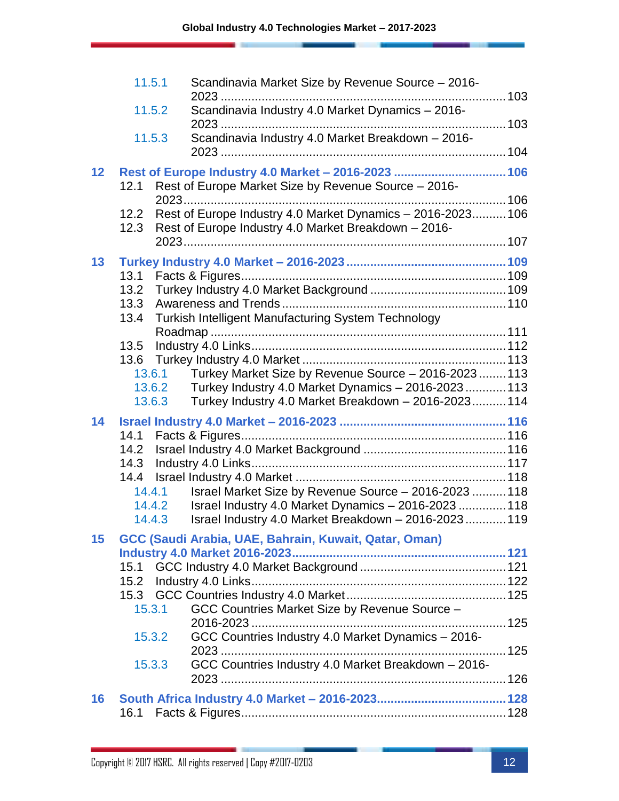|    | 11.5.1 | Scandinavia Market Size by Revenue Source - 2016-           |  |
|----|--------|-------------------------------------------------------------|--|
|    |        |                                                             |  |
|    | 11.5.2 | Scandinavia Industry 4.0 Market Dynamics - 2016-            |  |
|    |        |                                                             |  |
|    | 11.5.3 | Scandinavia Industry 4.0 Market Breakdown - 2016-           |  |
|    |        |                                                             |  |
| 12 |        | Rest of Europe Industry 4.0 Market - 2016-2023  106         |  |
|    | 12.1   | Rest of Europe Market Size by Revenue Source - 2016-        |  |
|    |        |                                                             |  |
|    | 12.2   | Rest of Europe Industry 4.0 Market Dynamics - 2016-2023 106 |  |
|    |        | 12.3 Rest of Europe Industry 4.0 Market Breakdown - 2016-   |  |
|    |        |                                                             |  |
| 13 |        |                                                             |  |
|    | 13.1   |                                                             |  |
|    | 13.2   |                                                             |  |
|    | 13.3   |                                                             |  |
|    | 13.4   | Turkish Intelligent Manufacturing System Technology         |  |
|    |        |                                                             |  |
|    | 13.5   |                                                             |  |
|    |        |                                                             |  |
|    |        | 13.6.1 Turkey Market Size by Revenue Source - 2016-2023 113 |  |
|    | 13.6.2 | Turkey Industry 4.0 Market Dynamics - 2016-2023  113        |  |
|    | 13.6.3 | Turkey Industry 4.0 Market Breakdown - 2016-2023 114        |  |
| 14 |        |                                                             |  |
|    | 14.1   |                                                             |  |
|    | 14.2   |                                                             |  |
|    |        |                                                             |  |
|    |        |                                                             |  |
|    | 14.4.1 | Israel Market Size by Revenue Source - 2016-2023  118       |  |
|    | 14.4.2 | Israel Industry 4.0 Market Dynamics - 2016-2023  118        |  |
|    | 14.4.3 | Israel Industry 4.0 Market Breakdown - 2016-2023  119       |  |
| 15 |        | GCC (Saudi Arabia, UAE, Bahrain, Kuwait, Qatar, Oman)       |  |
|    |        |                                                             |  |
|    |        |                                                             |  |
|    |        |                                                             |  |
|    | 15.3   |                                                             |  |
|    | 15.3.1 | GCC Countries Market Size by Revenue Source -               |  |
|    |        |                                                             |  |
|    | 15.3.2 | GCC Countries Industry 4.0 Market Dynamics - 2016-          |  |
|    |        |                                                             |  |
|    | 15.3.3 | GCC Countries Industry 4.0 Market Breakdown - 2016-         |  |
|    |        |                                                             |  |
| 16 |        |                                                             |  |
|    | 16.1   |                                                             |  |
|    |        |                                                             |  |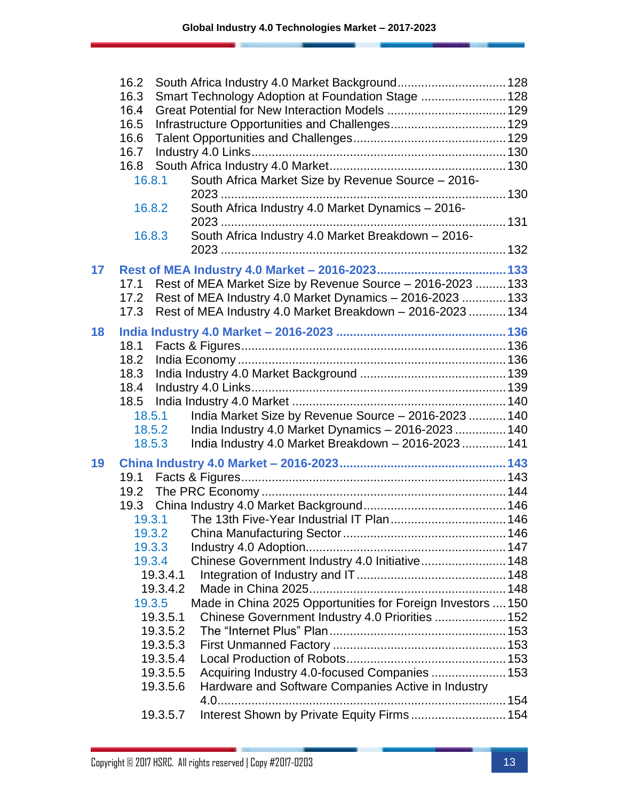|    | 16.2                                                                  |  |
|----|-----------------------------------------------------------------------|--|
|    | 16.3<br>Smart Technology Adoption at Foundation Stage  128            |  |
|    | 16.4                                                                  |  |
|    | 16.5                                                                  |  |
|    | 16.6                                                                  |  |
|    | 16.7                                                                  |  |
|    | 16.8                                                                  |  |
|    | South Africa Market Size by Revenue Source - 2016-<br>16.8.1          |  |
|    | South Africa Industry 4.0 Market Dynamics - 2016-<br>16.8.2           |  |
|    |                                                                       |  |
|    | South Africa Industry 4.0 Market Breakdown - 2016-<br>16.8.3          |  |
|    |                                                                       |  |
| 17 |                                                                       |  |
|    | Rest of MEA Market Size by Revenue Source - 2016-2023  133<br>17.1    |  |
|    | Rest of MEA Industry 4.0 Market Dynamics - 2016-2023  133<br>17.2     |  |
|    | Rest of MEA Industry 4.0 Market Breakdown - 2016-2023  134<br>17.3    |  |
| 18 |                                                                       |  |
|    | 18.1                                                                  |  |
|    | 18.2                                                                  |  |
|    | 18.3                                                                  |  |
|    | 18.4                                                                  |  |
|    | 18.5                                                                  |  |
|    | India Market Size by Revenue Source - 2016-2023  140<br>18.5.1        |  |
|    | India Industry 4.0 Market Dynamics - 2016-2023  140<br>18.5.2         |  |
|    | India Industry 4.0 Market Breakdown - 2016-2023  141<br>18.5.3        |  |
| 19 |                                                                       |  |
|    |                                                                       |  |
|    |                                                                       |  |
|    |                                                                       |  |
|    | 19.3.1 The 13th Five-Year Industrial IT Plan 146                      |  |
|    |                                                                       |  |
|    | 19.3.3                                                                |  |
|    | Chinese Government Industry 4.0 Initiative 148<br>19.3.4              |  |
|    | 19.3.4.1                                                              |  |
|    | 19.3.4.2                                                              |  |
|    | Made in China 2025 Opportunities for Foreign Investors  150<br>19.3.5 |  |
|    | 19.3.5.1<br>Chinese Government Industry 4.0 Priorities  152           |  |
|    | 19.3.5.2                                                              |  |
|    | 19.3.5.3                                                              |  |
|    | 19.3.5.4                                                              |  |
|    | Acquiring Industry 4.0-focused Companies  153<br>19.3.5.5             |  |
|    | Hardware and Software Companies Active in Industry<br>19.3.5.6        |  |
|    | Interest Shown by Private Equity Firms  154<br>19.3.5.7               |  |
|    |                                                                       |  |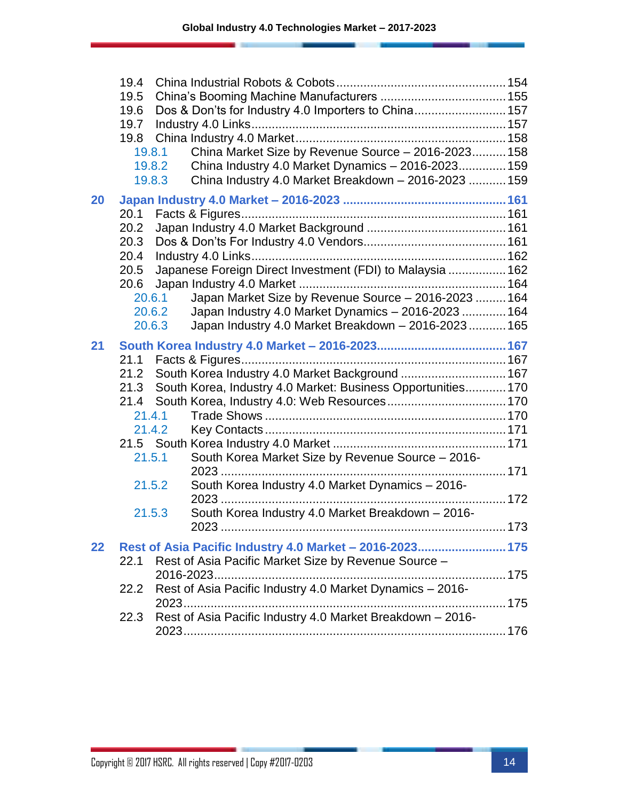|    | 19.4 |                                                                |      |
|----|------|----------------------------------------------------------------|------|
|    | 19.5 |                                                                |      |
|    | 19.6 | Dos & Don'ts for Industry 4.0 Importers to China 157           |      |
|    | 19.7 |                                                                |      |
|    | 19.8 |                                                                |      |
|    |      | China Market Size by Revenue Source - 2016-2023 158<br>19.8.1  |      |
|    |      | China Industry 4.0 Market Dynamics - 2016-2023 159<br>19.8.2   |      |
|    |      | China Industry 4.0 Market Breakdown - 2016-2023  159<br>19.8.3 |      |
| 20 |      |                                                                |      |
|    | 20.1 |                                                                |      |
|    | 20.2 |                                                                |      |
|    | 20.3 |                                                                |      |
|    | 20.4 |                                                                |      |
|    | 20.5 | Japanese Foreign Direct Investment (FDI) to Malaysia  162      |      |
|    | 20.6 |                                                                |      |
|    |      | Japan Market Size by Revenue Source - 2016-2023  164<br>20.6.1 |      |
|    |      | Japan Industry 4.0 Market Dynamics - 2016-2023  164<br>20.6.2  |      |
|    |      | Japan Industry 4.0 Market Breakdown - 2016-2023 165<br>20.6.3  |      |
| 21 |      |                                                                |      |
|    | 21.1 |                                                                |      |
|    | 21.2 | South Korea Industry 4.0 Market Background  167                |      |
|    | 21.3 | South Korea, Industry 4.0 Market: Business Opportunities 170   |      |
|    | 21.4 |                                                                |      |
|    |      | 21.4.1                                                         |      |
|    |      | 21.4.2                                                         |      |
|    |      |                                                                |      |
|    |      | 21.5.1<br>South Korea Market Size by Revenue Source - 2016-    |      |
|    |      |                                                                |      |
|    |      | South Korea Industry 4.0 Market Dynamics - 2016-<br>21.5.2     |      |
|    |      | South Korea Industry 4.0 Market Breakdown - 2016-<br>21.5.3    |      |
|    |      | 2023.                                                          | .173 |
| 22 |      | Rest of Asia Pacific Industry 4.0 Market - 2016-2023 175       |      |
|    | 22.1 | Rest of Asia Pacific Market Size by Revenue Source -           |      |
|    |      | 2016-2023                                                      |      |
|    | 22.2 | Rest of Asia Pacific Industry 4.0 Market Dynamics - 2016-      |      |
|    |      |                                                                |      |
|    | 22.3 | Rest of Asia Pacific Industry 4.0 Market Breakdown - 2016-     |      |
|    |      |                                                                |      |
|    |      |                                                                |      |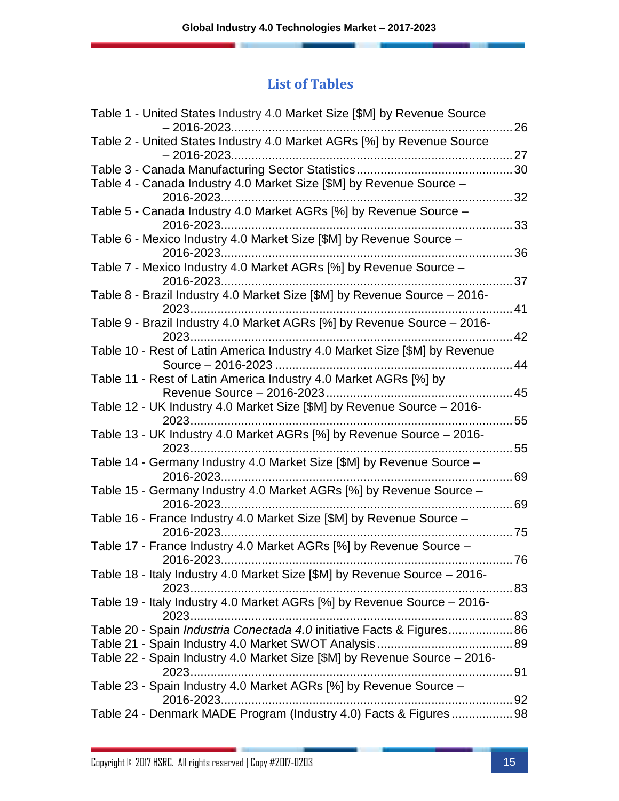### **List of Tables**

| 26                                                                           |
|------------------------------------------------------------------------------|
|                                                                              |
| .27                                                                          |
|                                                                              |
|                                                                              |
| 32                                                                           |
| 33                                                                           |
| 36                                                                           |
|                                                                              |
| 37                                                                           |
|                                                                              |
| 41                                                                           |
|                                                                              |
| .42                                                                          |
|                                                                              |
| 44                                                                           |
|                                                                              |
| 45                                                                           |
|                                                                              |
| 55                                                                           |
|                                                                              |
| 55                                                                           |
|                                                                              |
| 69                                                                           |
|                                                                              |
| .69                                                                          |
|                                                                              |
| .75                                                                          |
| 76                                                                           |
|                                                                              |
|                                                                              |
|                                                                              |
|                                                                              |
| Table 20 - Spain <i>Industria Conectada 4.0</i> initiative Facts & Figures86 |
|                                                                              |
|                                                                              |
|                                                                              |
|                                                                              |
|                                                                              |
| Table 24 - Denmark MADE Program (Industry 4.0) Facts & Figures 98            |
|                                                                              |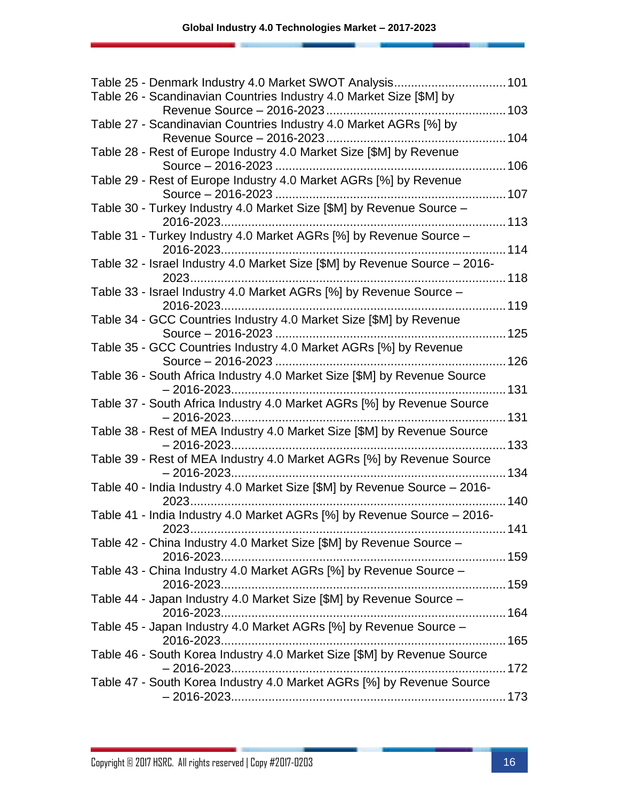| Table 26 - Scandinavian Countries Industry 4.0 Market Size [\$M] by              |      |
|----------------------------------------------------------------------------------|------|
| 103                                                                              |      |
| Table 27 - Scandinavian Countries Industry 4.0 Market AGRs [%] by                | 104  |
| Table 28 - Rest of Europe Industry 4.0 Market Size [\$M] by Revenue              |      |
|                                                                                  | 106  |
| Table 29 - Rest of Europe Industry 4.0 Market AGRs [%] by Revenue                |      |
|                                                                                  |      |
| Table 30 - Turkey Industry 4.0 Market Size [\$M] by Revenue Source -             |      |
|                                                                                  |      |
| Table 31 - Turkey Industry 4.0 Market AGRs [%] by Revenue Source -               |      |
|                                                                                  | 114  |
| Table 32 - Israel Industry 4.0 Market Size [\$M] by Revenue Source - 2016-       |      |
|                                                                                  |      |
| Table 33 - Israel Industry 4.0 Market AGRs [%] by Revenue Source -               |      |
|                                                                                  |      |
| Table 34 - GCC Countries Industry 4.0 Market Size [\$M] by Revenue               |      |
|                                                                                  | 125  |
| Table 35 - GCC Countries Industry 4.0 Market AGRs [%] by Revenue                 |      |
|                                                                                  | 126  |
| Table 36 - South Africa Industry 4.0 Market Size [\$M] by Revenue Source         |      |
|                                                                                  |      |
| Table 37 - South Africa Industry 4.0 Market AGRs [%] by Revenue Source           |      |
|                                                                                  | .131 |
| Table 38 - Rest of MEA Industry 4.0 Market Size [\$M] by Revenue Source          |      |
| $-2016 - 2023$                                                                   | 133  |
| Table 39 - Rest of MEA Industry 4.0 Market AGRs [%] by Revenue Source            |      |
|                                                                                  | 134  |
| Table 40 - India Industry 4.0 Market Size [\$M] by Revenue Source - 2016-        | 140  |
|                                                                                  |      |
| Table 41 - India Industry 4.0 Market AGRs [%] by Revenue Source - 2016-<br>. 141 |      |
| Table 42 - China Industry 4.0 Market Size [\$M] by Revenue Source -              |      |
|                                                                                  |      |
| Table 43 - China Industry 4.0 Market AGRs [%] by Revenue Source -                |      |
|                                                                                  |      |
| Table 44 - Japan Industry 4.0 Market Size [\$M] by Revenue Source -              |      |
|                                                                                  |      |
| Table 45 - Japan Industry 4.0 Market AGRs [%] by Revenue Source -                |      |
|                                                                                  |      |
| Table 46 - South Korea Industry 4.0 Market Size [\$M] by Revenue Source          |      |
|                                                                                  |      |
| Table 47 - South Korea Industry 4.0 Market AGRs [%] by Revenue Source            |      |
|                                                                                  |      |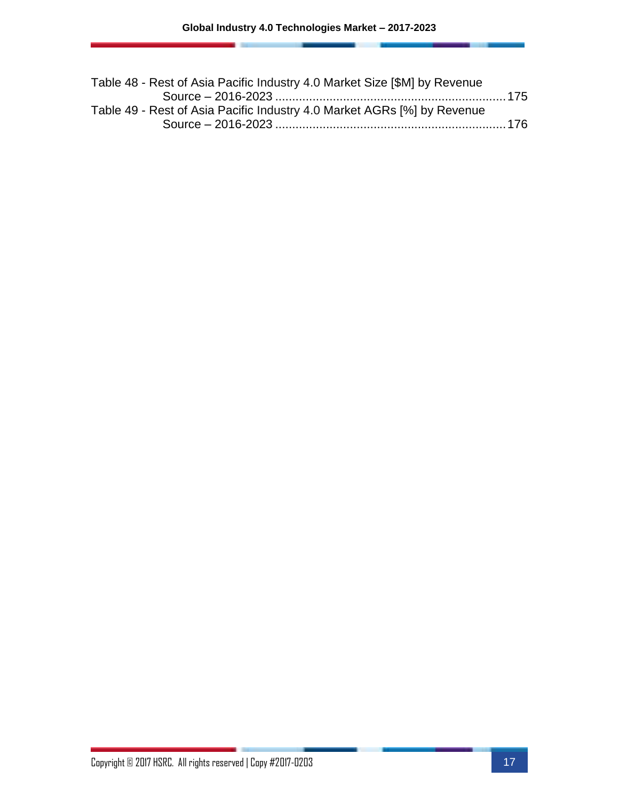| Table 48 - Rest of Asia Pacific Industry 4.0 Market Size [\$M] by Revenue |  |
|---------------------------------------------------------------------------|--|
|                                                                           |  |
| Table 49 - Rest of Asia Pacific Industry 4.0 Market AGRs [%] by Revenue   |  |
|                                                                           |  |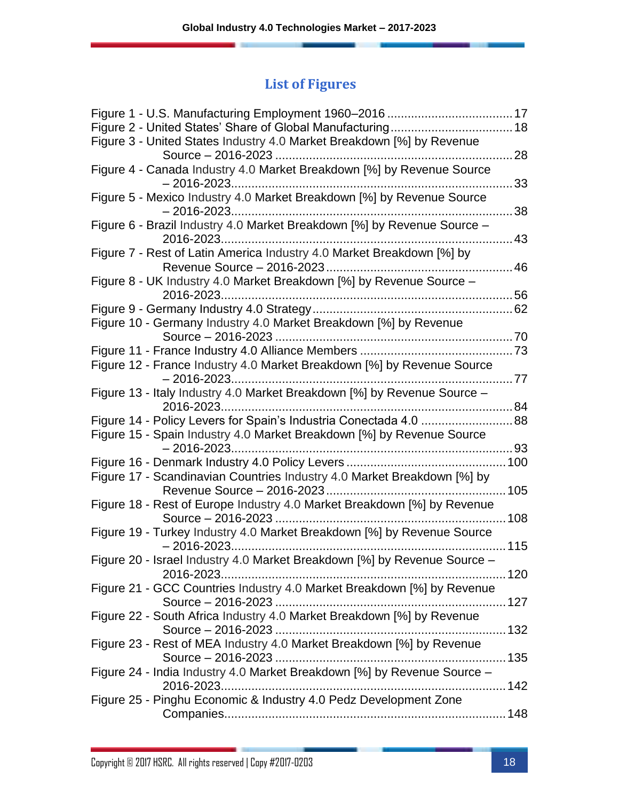### **List of Figures**

| Figure 3 - United States Industry 4.0 Market Breakdown [%] by Revenue                               | 28   |
|-----------------------------------------------------------------------------------------------------|------|
| Figure 4 - Canada Industry 4.0 Market Breakdown [%] by Revenue Source<br>$-2016 - 2023$             | 33   |
| Figure 5 - Mexico Industry 4.0 Market Breakdown [%] by Revenue Source                               | 38   |
| Figure 6 - Brazil Industry 4.0 Market Breakdown [%] by Revenue Source -                             | 43   |
| Figure 7 - Rest of Latin America Industry 4.0 Market Breakdown [%] by<br>Revenue Source - 2016-2023 | 46   |
| Figure 8 - UK Industry 4.0 Market Breakdown [%] by Revenue Source -                                 | 56   |
|                                                                                                     |      |
| Figure 10 - Germany Industry 4.0 Market Breakdown [%] by Revenue                                    |      |
|                                                                                                     |      |
| Figure 12 - France Industry 4.0 Market Breakdown [%] by Revenue Source<br>$-2016 - 2023$            | . 77 |
| Figure 13 - Italy Industry 4.0 Market Breakdown [%] by Revenue Source -                             |      |
| Figure 14 - Policy Levers for Spain's Industria Conectada 4.0 88                                    |      |
| Figure 15 - Spain Industry 4.0 Market Breakdown [%] by Revenue Source<br>$-2016 - 2023$             |      |
| Figure 17 - Scandinavian Countries Industry 4.0 Market Breakdown [%] by                             |      |
|                                                                                                     |      |
| Figure 18 - Rest of Europe Industry 4.0 Market Breakdown [%] by Revenue                             |      |
| Figure 19 - Turkey Industry 4.0 Market Breakdown [%] by Revenue Source                              |      |
| $-2016 - 2023$<br>Figure 20 - Israel Industry 4.0 Market Breakdown [%] by Revenue Source -          |      |
|                                                                                                     |      |
| Figure 21 - GCC Countries Industry 4.0 Market Breakdown [%] by Revenue                              |      |
| Figure 22 - South Africa Industry 4.0 Market Breakdown [%] by Revenue                               |      |
| Figure 23 - Rest of MEA Industry 4.0 Market Breakdown [%] by Revenue                                |      |
| Figure 24 - India Industry 4.0 Market Breakdown [%] by Revenue Source -                             |      |
|                                                                                                     |      |
| Figure 25 - Pinghu Economic & Industry 4.0 Pedz Development Zone                                    |      |
|                                                                                                     |      |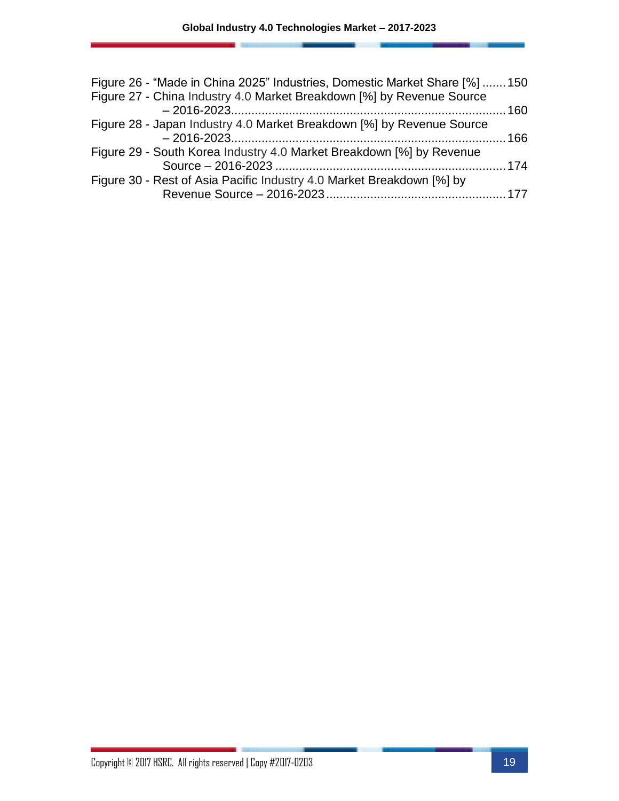| Figure 26 - "Made in China 2025" Industries, Domestic Market Share [%]  150 |  |
|-----------------------------------------------------------------------------|--|
| Figure 27 - China Industry 4.0 Market Breakdown [%] by Revenue Source       |  |
|                                                                             |  |
| Figure 28 - Japan Industry 4.0 Market Breakdown [%] by Revenue Source       |  |
|                                                                             |  |
| Figure 29 - South Korea Industry 4.0 Market Breakdown [%] by Revenue        |  |
|                                                                             |  |
| Figure 30 - Rest of Asia Pacific Industry 4.0 Market Breakdown [%] by       |  |
|                                                                             |  |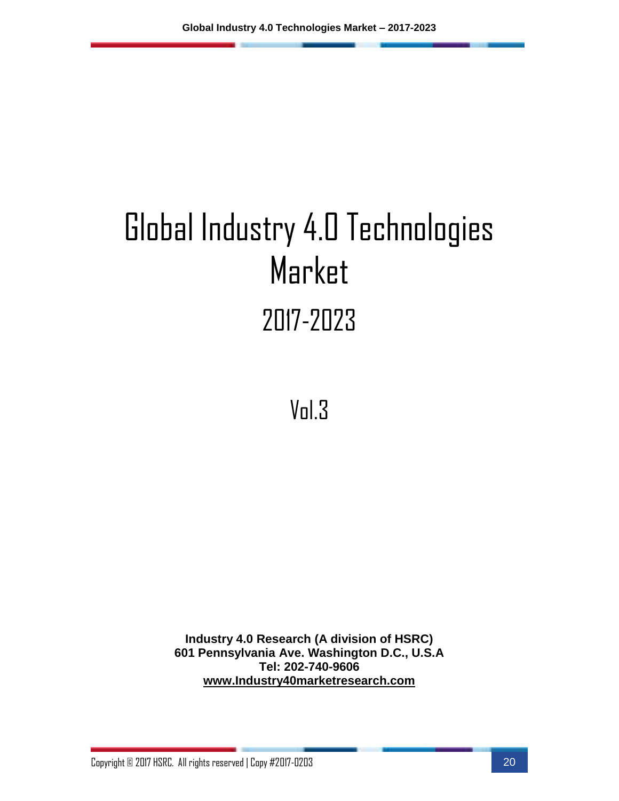# Global Industry 4.0 Technologies Market 2017-2023

Vol.3

**Industry 4.0 Research (A division of HSRC) 601 Pennsylvania Ave. Washington D.C., U.S.A Tel: 202-740-9606 [www.Industry40marketresearch.com](http://www.industry40marketresearch.com/)**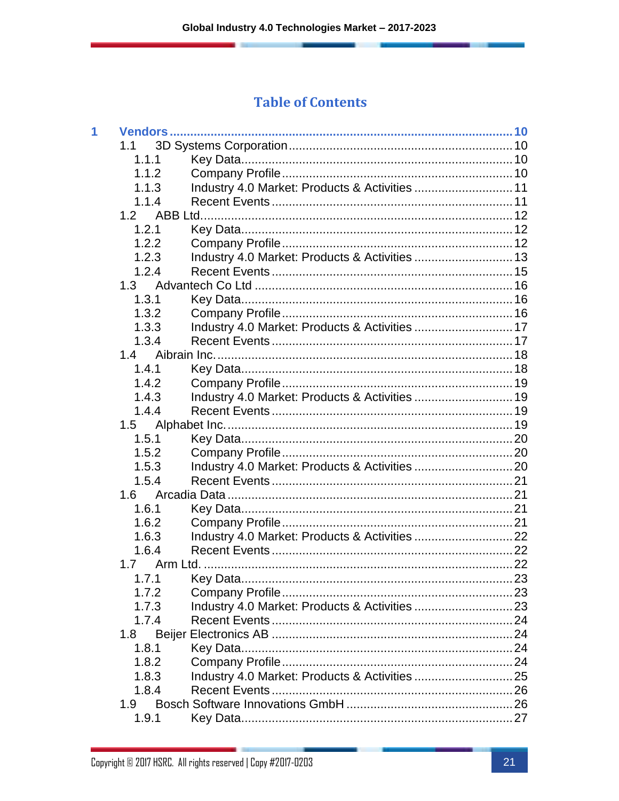#### **Table of Contents**

| 1 |       |                                                |  |
|---|-------|------------------------------------------------|--|
|   | 1.1   |                                                |  |
|   | 1.1.1 |                                                |  |
|   | 1.1.2 |                                                |  |
|   | 1.1.3 | Industry 4.0 Market: Products & Activities  11 |  |
|   | 1.1.4 |                                                |  |
|   | 1.2   |                                                |  |
|   | 1.2.1 |                                                |  |
|   | 1.2.2 |                                                |  |
|   | 1.2.3 | Industry 4.0 Market: Products & Activities  13 |  |
|   | 1.2.4 |                                                |  |
|   | 1.3   |                                                |  |
|   | 1.3.1 |                                                |  |
|   | 1.3.2 |                                                |  |
|   | 1.3.3 | Industry 4.0 Market: Products & Activities  17 |  |
|   | 1.3.4 |                                                |  |
|   | 1.4   |                                                |  |
|   | 1.4.1 |                                                |  |
|   | 1.4.2 |                                                |  |
|   | 1.4.3 | Industry 4.0 Market: Products & Activities  19 |  |
|   | 1.4.4 |                                                |  |
|   | 1.5   |                                                |  |
|   | 1.5.1 |                                                |  |
|   | 1.5.2 |                                                |  |
|   | 1.5.3 |                                                |  |
|   | 1.5.4 |                                                |  |
|   | 1.6   |                                                |  |
|   | 1.6.1 |                                                |  |
|   | 1.6.2 |                                                |  |
|   | 1.6.3 |                                                |  |
|   | 1.6.4 |                                                |  |
|   | 1.7   |                                                |  |
|   | 1.7.1 |                                                |  |
|   | 1.7.2 |                                                |  |
|   | 1.7.3 |                                                |  |
|   | 1.7.4 |                                                |  |
|   | 1.8   |                                                |  |
|   | 1.8.1 |                                                |  |
|   | 1.8.2 |                                                |  |
|   | 1.8.3 |                                                |  |
|   | 1.8.4 |                                                |  |
|   | 1.9   |                                                |  |
|   | 1.9.1 |                                                |  |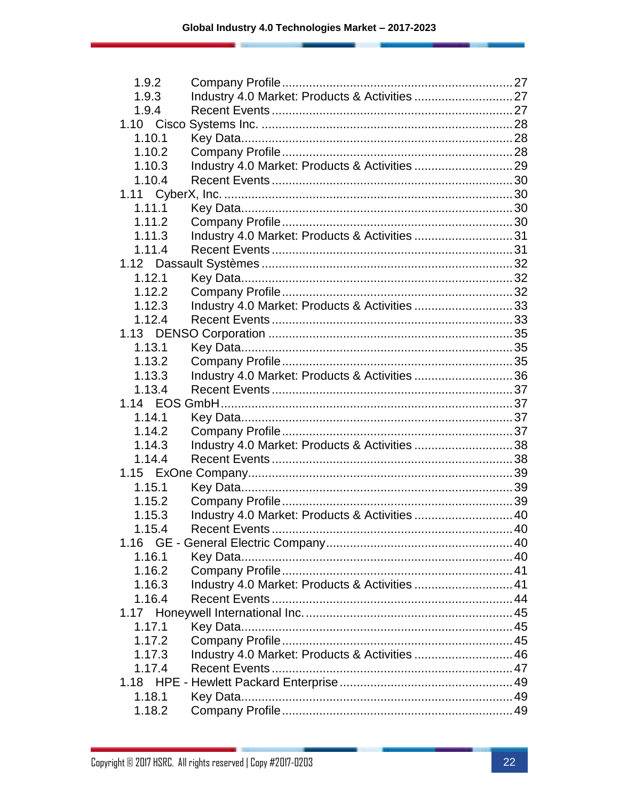| 1.9.2  |                                                |  |
|--------|------------------------------------------------|--|
| 1.9.3  | Industry 4.0 Market: Products & Activities  27 |  |
| 1.9.4  |                                                |  |
|        |                                                |  |
| 1.10.1 |                                                |  |
| 1.10.2 |                                                |  |
| 1.10.3 |                                                |  |
| 1.10.4 |                                                |  |
|        |                                                |  |
| 1.11.1 |                                                |  |
| 1.11.2 |                                                |  |
| 1.11.3 | Industry 4.0 Market: Products & Activities 31  |  |
| 1.11.4 |                                                |  |
|        |                                                |  |
| 1.12.1 |                                                |  |
| 1.12.2 |                                                |  |
| 1.12.3 | Industry 4.0 Market: Products & Activities 33  |  |
| 1.12.4 |                                                |  |
|        |                                                |  |
| 1.13.1 |                                                |  |
| 1.13.2 |                                                |  |
| 1.13.3 | Industry 4.0 Market: Products & Activities 36  |  |
| 1.13.4 |                                                |  |
|        |                                                |  |
| 1.14.1 |                                                |  |
| 1.14.2 |                                                |  |
| 1.14.3 | Industry 4.0 Market: Products & Activities 38  |  |
| 1.14.4 |                                                |  |
|        |                                                |  |
| 1.15.1 |                                                |  |
| 1.15.2 |                                                |  |
| 1.15.3 | Industry 4.0 Market: Products & Activities  40 |  |
| 1.15.4 |                                                |  |
|        |                                                |  |
| 1.16.1 |                                                |  |
| 1.16.2 |                                                |  |
| 1.16.3 | Industry 4.0 Market: Products & Activities  41 |  |
| 1.16.4 |                                                |  |
|        |                                                |  |
| 1.17.1 |                                                |  |
| 1.17.2 |                                                |  |
| 1.17.3 | Industry 4.0 Market: Products & Activities  46 |  |
| 1.17.4 |                                                |  |
|        |                                                |  |
| 1.18.1 |                                                |  |
| 1.18.2 |                                                |  |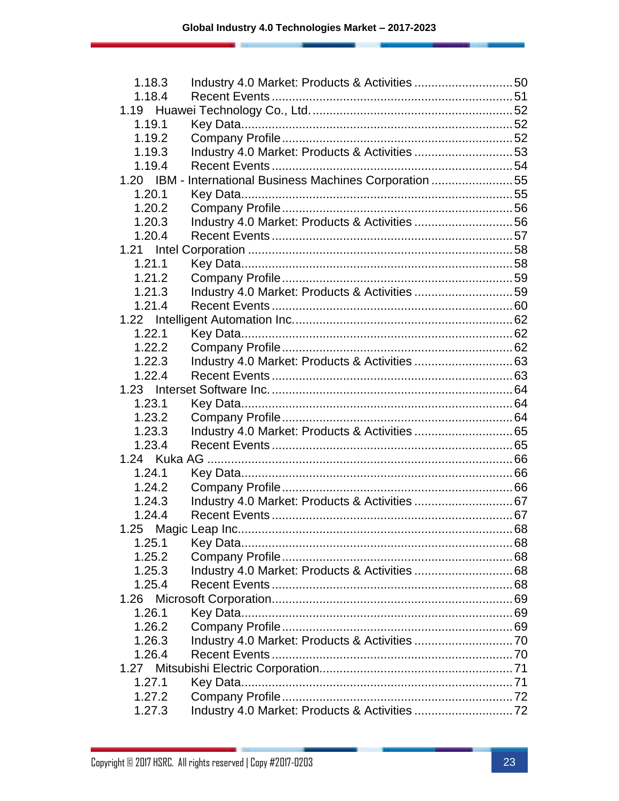| 1.18.3 |                                                           |  |
|--------|-----------------------------------------------------------|--|
| 1.18.4 |                                                           |  |
|        |                                                           |  |
| 1.19.1 |                                                           |  |
| 1.19.2 |                                                           |  |
| 1.19.3 | Industry 4.0 Market: Products & Activities 53             |  |
| 1.19.4 |                                                           |  |
|        | 1.20 IBM - International Business Machines Corporation 55 |  |
| 1.20.1 |                                                           |  |
| 1.20.2 |                                                           |  |
| 1.20.3 | Industry 4.0 Market: Products & Activities 56             |  |
| 1.20.4 |                                                           |  |
|        |                                                           |  |
| 1.21.1 |                                                           |  |
| 1.21.2 |                                                           |  |
| 1.21.3 | Industry 4.0 Market: Products & Activities 59             |  |
| 1.21.4 |                                                           |  |
|        |                                                           |  |
| 1.22.1 |                                                           |  |
| 1.22.2 |                                                           |  |
| 1.22.3 |                                                           |  |
| 1.22.4 |                                                           |  |
|        |                                                           |  |
| 1.23.1 |                                                           |  |
| 1.23.2 |                                                           |  |
| 1.23.3 |                                                           |  |
| 1.23.4 |                                                           |  |
|        |                                                           |  |
| 1.24.1 |                                                           |  |
| 1.24.2 |                                                           |  |
| 1.24.3 |                                                           |  |
| 1.24.4 |                                                           |  |
|        |                                                           |  |
| 1.25.1 |                                                           |  |
| 1.25.2 |                                                           |  |
| 1.25.3 |                                                           |  |
| 1.25.4 |                                                           |  |
|        |                                                           |  |
| 1.26.1 |                                                           |  |
| 1.26.2 |                                                           |  |
| 1.26.3 |                                                           |  |
| 1.26.4 |                                                           |  |
|        |                                                           |  |
| 1.27.1 |                                                           |  |
| 1.27.2 |                                                           |  |
| 1.27.3 |                                                           |  |
|        |                                                           |  |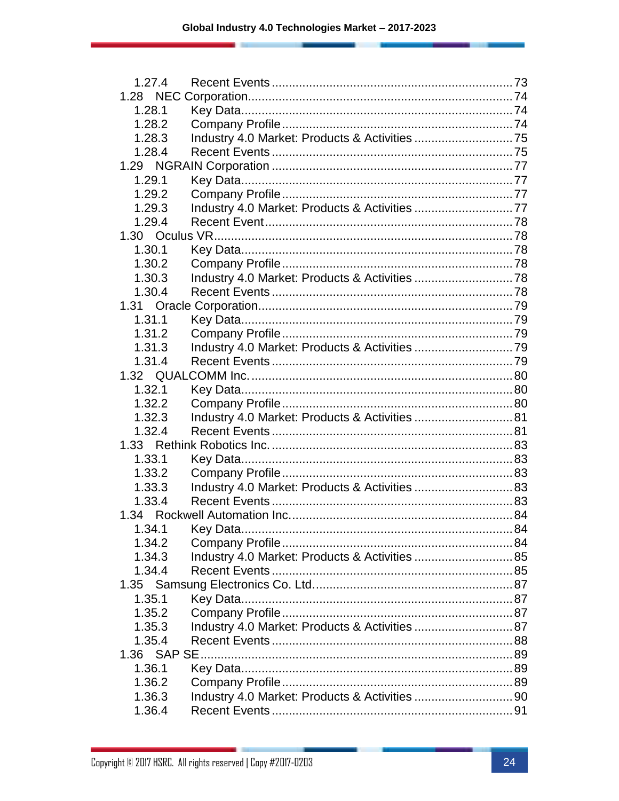| 1.27.4 |                                                |  |
|--------|------------------------------------------------|--|
|        |                                                |  |
| 1.28.1 |                                                |  |
| 1.28.2 |                                                |  |
| 1.28.3 |                                                |  |
| 1.28.4 |                                                |  |
|        |                                                |  |
| 1.29.1 |                                                |  |
| 1.29.2 |                                                |  |
| 1.29.3 | Industry 4.0 Market: Products & Activities 77  |  |
| 1.29.4 |                                                |  |
|        |                                                |  |
| 1.30.1 |                                                |  |
| 1.30.2 |                                                |  |
| 1.30.3 |                                                |  |
| 1.30.4 |                                                |  |
|        |                                                |  |
| 1.31.1 |                                                |  |
| 1.31.2 |                                                |  |
| 1.31.3 |                                                |  |
| 1.31.4 |                                                |  |
|        |                                                |  |
| 1.32.1 |                                                |  |
| 1.32.2 |                                                |  |
| 1.32.3 | Industry 4.0 Market: Products & Activities  81 |  |
| 1.32.4 |                                                |  |
|        |                                                |  |
| 1.33.1 |                                                |  |
| 1.33.2 |                                                |  |
| 1.33.3 |                                                |  |
| 1.33.4 |                                                |  |
|        |                                                |  |
|        |                                                |  |
| 1.34.2 |                                                |  |
| 1.34.3 | Industry 4.0 Market: Products & Activities  85 |  |
| 1.34.4 |                                                |  |
|        |                                                |  |
| 1.35.1 |                                                |  |
| 1.35.2 |                                                |  |
| 1.35.3 |                                                |  |
|        | Industry 4.0 Market: Products & Activities  87 |  |
| 1.35.4 |                                                |  |
|        |                                                |  |
| 1.36.1 |                                                |  |
| 1.36.2 |                                                |  |
| 1.36.3 | Industry 4.0 Market: Products & Activities 90  |  |
| 1.36.4 |                                                |  |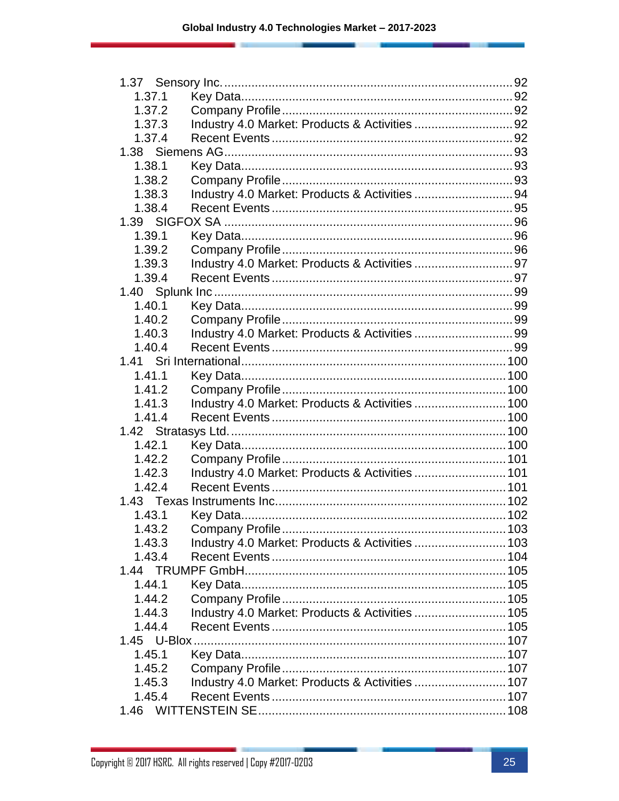| 1.37.1 |                                                 |  |
|--------|-------------------------------------------------|--|
| 1.37.2 |                                                 |  |
| 1.37.3 | Industry 4.0 Market: Products & Activities 92   |  |
| 1.37.4 |                                                 |  |
|        |                                                 |  |
| 1.38.1 |                                                 |  |
| 1.38.2 |                                                 |  |
| 1.38.3 | Industry 4.0 Market: Products & Activities 94   |  |
| 1.38.4 |                                                 |  |
|        |                                                 |  |
| 1.39.1 |                                                 |  |
| 1.39.2 |                                                 |  |
| 1.39.3 |                                                 |  |
| 1.39.4 |                                                 |  |
|        |                                                 |  |
| 1.40.1 |                                                 |  |
| 1.40.2 |                                                 |  |
| 1.40.3 |                                                 |  |
| 1.40.4 |                                                 |  |
|        |                                                 |  |
| 1.41.1 |                                                 |  |
| 1.41.2 |                                                 |  |
| 1.41.3 | Industry 4.0 Market: Products & Activities  100 |  |
| 1.41.4 |                                                 |  |
|        |                                                 |  |
| 1.42.1 |                                                 |  |
| 1.42.2 |                                                 |  |
| 1.42.3 | Industry 4.0 Market: Products & Activities  101 |  |
| 1.42.4 |                                                 |  |
|        |                                                 |  |
| 1.43.1 |                                                 |  |
| 1.43.2 |                                                 |  |
| 1.43.3 | Industry 4.0 Market: Products & Activities  103 |  |
| 1.43.4 |                                                 |  |
|        |                                                 |  |
| 1.44.1 |                                                 |  |
| 1.44.2 |                                                 |  |
| 1.44.3 | Industry 4.0 Market: Products & Activities  105 |  |
| 1.44.4 |                                                 |  |
|        |                                                 |  |
| 1.45.1 |                                                 |  |
| 1.45.2 |                                                 |  |
| 1.45.3 | Industry 4.0 Market: Products & Activities  107 |  |
| 1.45.4 |                                                 |  |
|        |                                                 |  |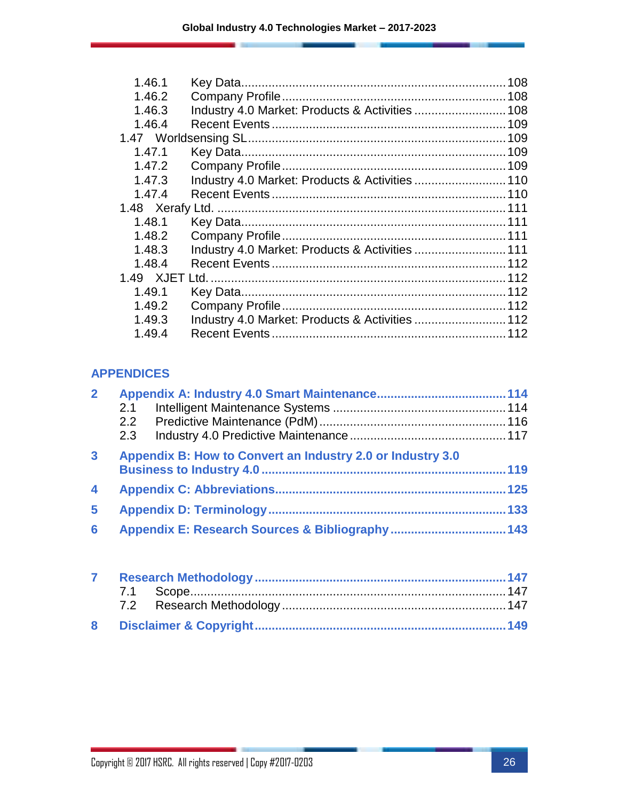| 1.46.1 |                                                 |  |
|--------|-------------------------------------------------|--|
| 1.46.2 |                                                 |  |
| 1.46.3 |                                                 |  |
| 1.46.4 |                                                 |  |
|        |                                                 |  |
| 1.47.1 |                                                 |  |
| 1.47.2 |                                                 |  |
| 1.47.3 | Industry 4.0 Market: Products & Activities  110 |  |
| 1.47.4 |                                                 |  |
|        |                                                 |  |
| 1.48.1 |                                                 |  |
| 1.48.2 |                                                 |  |
| 1.48.3 | Industry 4.0 Market: Products & Activities  111 |  |
| 1.48.4 |                                                 |  |
|        |                                                 |  |
| 1.49.1 |                                                 |  |
| 1.49.2 |                                                 |  |
| 1.49.3 | Industry 4.0 Market: Products & Activities  112 |  |
| 1.49.4 |                                                 |  |
|        |                                                 |  |

#### **APPENDICES**

| $\overline{2}$          |     |                                                            |     |
|-------------------------|-----|------------------------------------------------------------|-----|
|                         | 2.1 |                                                            |     |
|                         |     |                                                            |     |
|                         | 2.3 |                                                            |     |
| $\mathbf{3}$            |     | Appendix B: How to Convert an Industry 2.0 or Industry 3.0 |     |
|                         |     |                                                            |     |
| $\overline{\mathbf{4}}$ |     |                                                            |     |
| 5                       |     |                                                            | 133 |
| 6                       |     |                                                            |     |